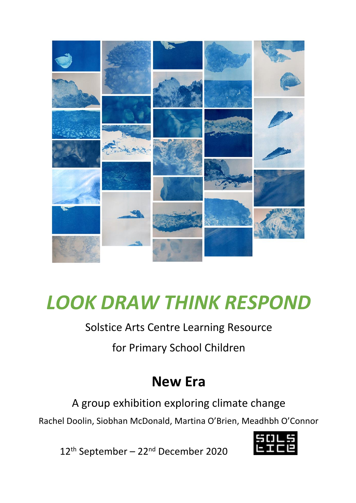

# *LOOK DRAW THINK RESPOND*

#### Solstice Arts Centre Learning Resource

for Primary School Children

# **New Era**

A group exhibition exploring climate change

Rachel Doolin, Siobhan McDonald, Martina O'Brien, Meadhbh O'Connor



12<sup>th</sup> September – 22<sup>nd</sup> December 2020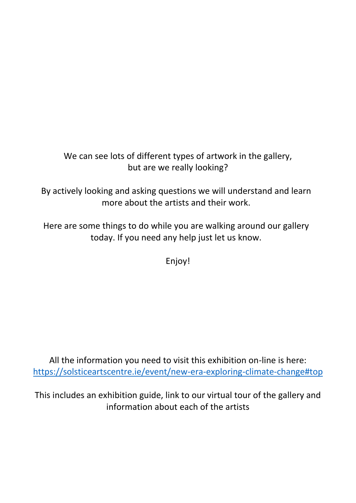#### We can see lots of different types of artwork in the gallery, but are we really looking?

By actively looking and asking questions we will understand and learn more about the artists and their work.

Here are some things to do while you are walking around our gallery today. If you need any help just let us know.

Enjoy!

All the information you need to visit this exhibition on-line is here: <https://solsticeartscentre.ie/event/new-era-exploring-climate-change#top>

This includes an exhibition guide, link to our virtual tour of the gallery and information about each of the artists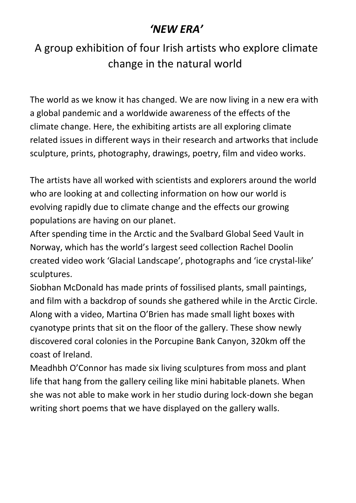### *'NEW ERA'*

### A group exhibition of four Irish artists who explore climate change in the natural world

The world as we know it has changed. We are now living in a new era with a global pandemic and a worldwide awareness of the effects of the climate change. Here, the exhibiting artists are all exploring climate related issues in different ways in their research and artworks that include sculpture, prints, photography, drawings, poetry, film and video works.

The artists have all worked with scientists and explorers around the world who are looking at and collecting information on how our world is evolving rapidly due to climate change and the effects our growing populations are having on our planet.

After spending time in the Arctic and the Svalbard Global Seed Vault in Norway, which has the world's largest seed collection Rachel Doolin created video work 'Glacial Landscape', photographs and 'ice crystal-like' sculptures.

Siobhan McDonald has made prints of fossilised plants, small paintings, and film with a backdrop of sounds she gathered while in the Arctic Circle. Along with a video, Martina O'Brien has made small light boxes with cyanotype prints that sit on the floor of the gallery. These show newly discovered coral colonies in the Porcupine Bank Canyon, 320km off the coast of Ireland.

Meadhbh O'Connor has made six living sculptures from moss and plant life that hang from the gallery ceiling like mini habitable planets. When she was not able to make work in her studio during lock-down she began writing short poems that we have displayed on the gallery walls.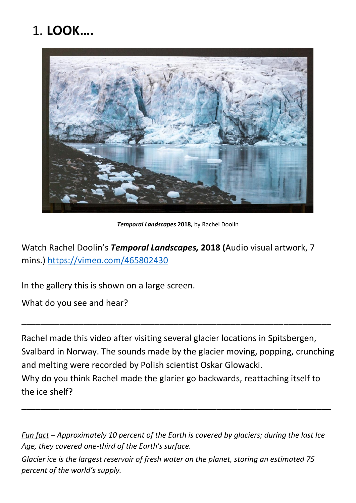# 1. **LOOK….**



*Temporal Landscapes* **2018,** by Rachel Doolin

Watch Rachel Doolin's *Temporal Landscapes,* **2018 (**Audio visual artwork, 7 mins.)<https://vimeo.com/465802430>

In the gallery this is shown on a large screen.

What do you see and hear?

Rachel made this video after visiting several glacier locations in Spitsbergen, Svalbard in Norway. The sounds made by the glacier moving, popping, crunching and melting were recorded by Polish scientist Oskar Glowacki. Why do you think Rachel made the glarier go backwards, reattaching itself to the ice shelf?

\_\_\_\_\_\_\_\_\_\_\_\_\_\_\_\_\_\_\_\_\_\_\_\_\_\_\_\_\_\_\_\_\_\_\_\_\_\_\_\_\_\_\_\_\_\_\_\_\_\_\_\_\_\_\_\_\_\_\_\_\_\_\_\_\_

*Fun fact – Approximately 10 percent of the Earth is covered by glaciers; during the last Ice Age, they covered one-third of the Earth's surface.*

\_\_\_\_\_\_\_\_\_\_\_\_\_\_\_\_\_\_\_\_\_\_\_\_\_\_\_\_\_\_\_\_\_\_\_\_\_\_\_\_\_\_\_\_\_\_\_\_\_\_\_\_\_\_\_\_\_\_\_\_\_\_\_\_\_

*Glacier ice is the largest reservoir of fresh water on the planet, storing an estimated 75 percent of the world's supply.*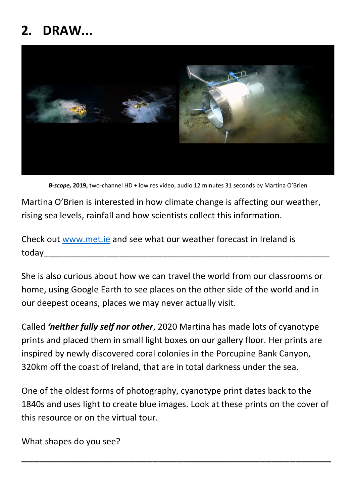### **2. DRAW...**



*B-scope,* **2019,** two-channel HD + low res video, audio 12 minutes 31 seconds by Martina O'Brien

Martina O'Brien is interested in how climate change is affecting our weather, rising sea levels, rainfall and how scientists collect this information.

Check out [www.met.ie](http://www.met.ie/) and see what our weather forecast in Ireland is today

She is also curious about how we can travel the world from our classrooms or home, using Google Earth to see places on the other side of the world and in our deepest oceans, places we may never actually visit.

Called *'neither fully self nor other*, 2020 Martina has made lots of cyanotype prints and placed them in small light boxes on our gallery floor. Her prints are inspired by newly discovered coral colonies in the Porcupine Bank Canyon, 320km off the coast of Ireland, that are in total darkness under the sea.

One of the oldest forms of photography, cyanotype print dates back to the 1840s and uses light to create blue images. Look at these prints on the cover of this resource or on the virtual tour.

\_\_\_\_\_\_\_\_\_\_\_\_\_\_\_\_\_\_\_\_\_\_\_\_\_\_\_\_\_\_\_\_\_\_\_\_\_\_\_\_\_\_\_\_\_\_\_\_\_\_\_\_

What shapes do you see?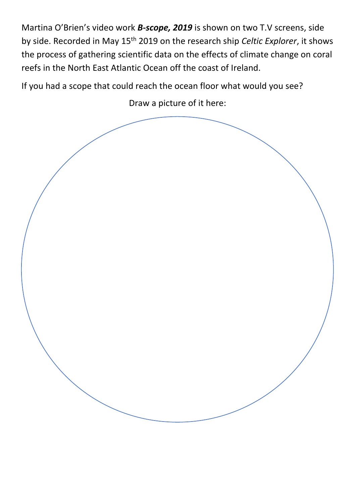Martina O'Brien's video work *B-scope, 2019* is shown on two T.V screens, side by side. Recorded in May 15th 2019 on the research ship *Celtic Explorer*, it shows the process of gathering scientific data on the effects of climate change on coral reefs in the North East Atlantic Ocean off the coast of Ireland.

If you had a scope that could reach the ocean floor what would you see?

Draw a picture of it here:

![](_page_5_Picture_3.jpeg)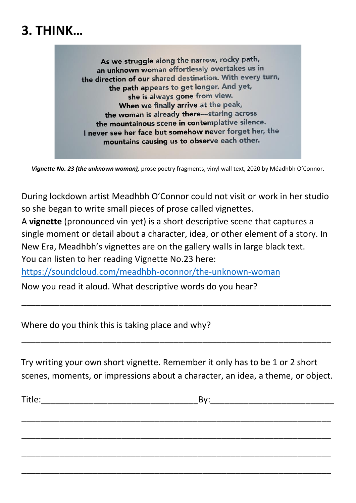### **3. THINK…**

As we struggle along the narrow, rocky path, an unknown woman effortlessly overtakes us in the direction of our shared destination. With every turn, the path appears to get longer. And yet, she is always gone from view. When we finally arrive at the peak, the woman is already there-staring across the mountainous scene in contemplative silence. I never see her face but somehow never forget her, the mountains causing us to observe each other.

*Vignette No. 23 (the unknown woman),* prose poetry fragments, vinyl wall text, 2020 by Méadhbh O'Connor.

During lockdown artist Meadhbh O'Connor could not visit or work in her studio so she began to write small pieces of prose called vignettes.

A **vignette** (pronounced vin-yet) is a short descriptive scene that captures a single moment or detail about a character, idea, or other element of a story. In New Era, Meadhbh's vignettes are on the gallery walls in large black text. You can listen to her reading Vignette No.23 here:

\_\_\_\_\_\_\_\_\_\_\_\_\_\_\_\_\_\_\_\_\_\_\_\_\_\_\_\_\_\_\_\_\_\_\_\_\_\_\_\_\_\_\_\_\_\_\_\_\_\_\_\_\_\_\_\_\_\_\_\_\_\_\_\_\_

<https://soundcloud.com/meadhbh-oconnor/the-unknown-woman>

Now you read it aloud. What descriptive words do you hear?

Where do you think this is taking place and why?

Try writing your own short vignette. Remember it only has to be 1 or 2 short scenes, moments, or impressions about a character, an idea, a theme, or object.

\_\_\_\_\_\_\_\_\_\_\_\_\_\_\_\_\_\_\_\_\_\_\_\_\_\_\_\_\_\_\_\_\_\_\_\_\_\_\_\_\_\_\_\_\_\_\_\_\_\_\_\_\_\_\_\_\_\_\_\_\_\_\_\_\_

\_\_\_\_\_\_\_\_\_\_\_\_\_\_\_\_\_\_\_\_\_\_\_\_\_\_\_\_\_\_\_\_\_\_\_\_\_\_\_\_\_\_\_\_\_\_\_\_\_\_\_\_\_\_\_\_\_\_\_\_\_\_\_\_\_

\_\_\_\_\_\_\_\_\_\_\_\_\_\_\_\_\_\_\_\_\_\_\_\_\_\_\_\_\_\_\_\_\_\_\_\_\_\_\_\_\_\_\_\_\_\_\_\_\_\_\_\_\_\_\_\_\_\_\_\_\_\_\_\_\_

\_\_\_\_\_\_\_\_\_\_\_\_\_\_\_\_\_\_\_\_\_\_\_\_\_\_\_\_\_\_\_\_\_\_\_\_\_\_\_\_\_\_\_\_\_\_\_\_\_\_\_\_\_\_\_\_\_\_\_\_\_\_\_\_\_

\_\_\_\_\_\_\_\_\_\_\_\_\_\_\_\_\_\_\_\_\_\_\_\_\_\_\_\_\_\_\_\_\_\_\_\_\_\_\_\_\_\_\_\_\_\_\_\_\_\_\_\_\_\_\_\_\_\_\_\_\_\_\_\_\_

| ÷.<br>ritle | _ |
|-------------|---|
|             |   |

| ٧ |  |
|---|--|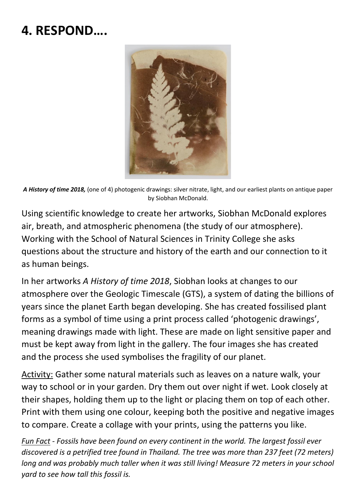### **4. RESPOND….**

![](_page_7_Picture_1.jpeg)

*A History of time 2018,* (one of 4) photogenic drawings: silver nitrate, light, and our earliest plants on antique paper by Siobhan McDonald.

Using scientific knowledge to create her artworks, Siobhan McDonald explores air, breath, and atmospheric phenomena (the study of our atmosphere). Working with the School of Natural Sciences in Trinity College she asks questions about the structure and history of the earth and our connection to it as human beings.

In her artworks *A History of time 2018*, Siobhan looks at changes to our atmosphere over the Geologic Timescale (GTS), a system of dating the billions of years since the planet Earth began developing. She has created fossilised plant forms as a symbol of time using a print process called 'photogenic drawings', meaning drawings made with light. These are made on light sensitive paper and must be kept away from light in the gallery. The four images she has created and the process she used symbolises the fragility of our planet.

Activity: Gather some natural materials such as leaves on a nature walk, your way to school or in your garden. Dry them out over night if wet. Look closely at their shapes, holding them up to the light or placing them on top of each other. Print with them using one colour, keeping both the positive and negative images to compare. Create a collage with your prints, using the patterns you like.

*Fun Fact - Fossils have been found on every continent in the world. The largest fossil ever discovered is a petrified tree found in Thailand. The tree was more than 237 feet (72 meters) long and was probably much taller when it was still living! Measure 72 meters in your school yard to see how tall this fossil is.*